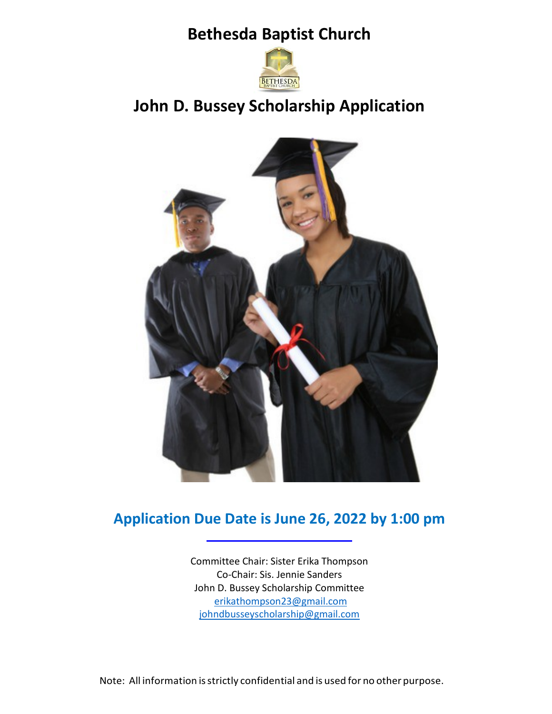**Bethesda Baptist Church**



# **John D. Bussey Scholarship Application**



## **Application Due Date is June 26, 2022 by 1:00 pm**

Committee Chair: Sister Erika Thompson Co-Chair: Sis. Jennie Sanders John D. Bussey Scholarship Committee [erikathompson23@gmail.com](mailto:erikathompson23@gmail.com) [johndbusseyscholarship@gmail.com](mailto:johndbusseyscholarship@gmail.com)

Note: All information isstrictly confidential and is used for no other purpose.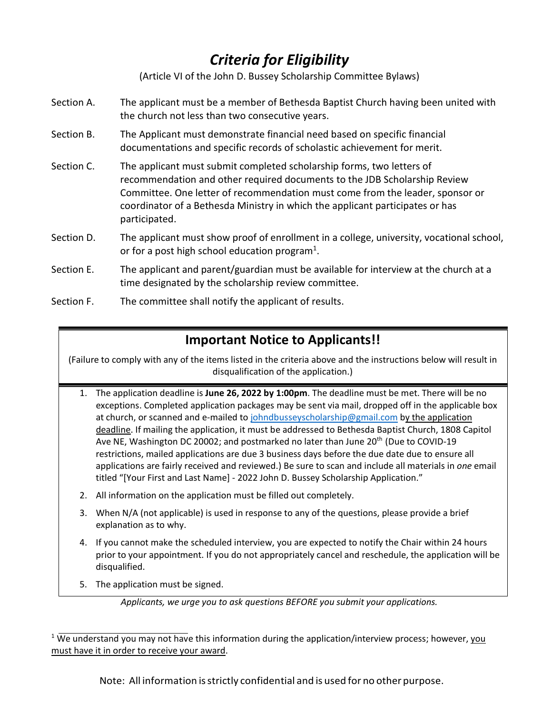# *Criteria for Eligibility*

(Article VI of the John D. Bussey Scholarship Committee Bylaws)

- Section A. The applicant must be a member of Bethesda Baptist Church having been united with the church not less than two consecutive years.
- Section B. The Applicant must demonstrate financial need based on specific financial documentations and specific records of scholastic achievement for merit.
- Section C. The applicant must submit completed scholarship forms, two letters of recommendation and other required documents to the JDB Scholarship Review Committee. One letter of recommendation must come from the leader, sponsor or coordinator of a Bethesda Ministry in which the applicant participates or has participated.
- Section D. The applicant must show proof of enrollment in a college, university, vocational school, or for a post high school education program<sup>1</sup>.
- Section E. The applicant and parent/guardian must be available for interview at the church at a time designated by the scholarship review committee.
- Section F. The committee shall notify the applicant of results.

## **Important Notice to Applicants!!**

(Failure to comply with any of the items listed in the criteria above and the instructions below will result in disqualification of the application.)

- 1. The application deadline is **June 26, 2022 by 1:00pm**. The deadline must be met. There will be no exceptions. Completed application packages may be sent via mail, dropped off in the applicable box at church, or scanned and e-mailed to [johndbusseyscholarship@gmail.com](mailto:johndbusseyscholarship@gmail.com) by the application deadline. If mailing the application, it must be addressed to Bethesda Baptist Church, 1808 Capitol Ave NE, Washington DC 20002; and postmarked no later than June 20<sup>th</sup> (Due to COVID-19 restrictions, mailed applications are due 3 business days before the due date due to ensure all applications are fairly received and reviewed.) Be sure to scan and include all materials in *one* email titled "[Your First and Last Name] - 2022 John D. Bussey Scholarship Application."
- 2. All information on the application must be filled out completely.
- 3. When N/A (not applicable) is used in response to any of the questions, please provide a brief explanation as to why.
- 4. If you cannot make the scheduled interview, you are expected to notify the Chair within 24 hours prior to your appointment. If you do not appropriately cancel and reschedule, the application will be disqualified.
- 5. The application must be signed.

Note: All information isstrictly confidential and is used for no other purpose.

*Applicants, we urge you to ask questions BEFORE you submit your applications.*

<sup>&</sup>lt;sup>1</sup> We understand you may not have this information during the application/interview process; however, you must have it in order to receive your award.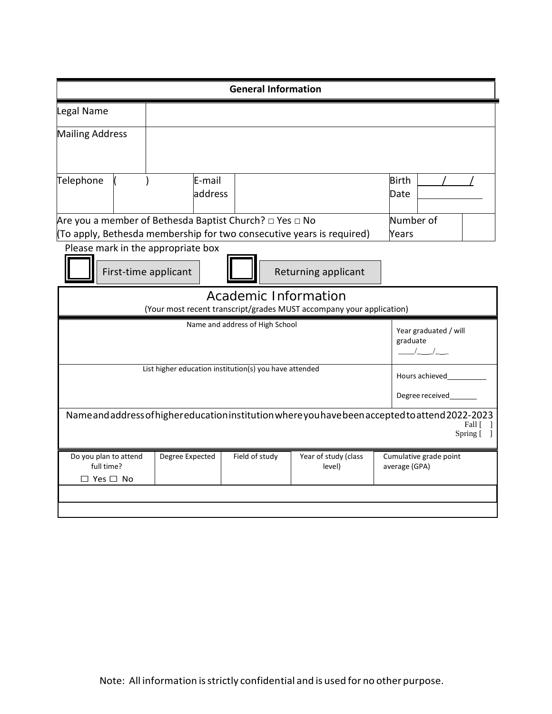|                                                                                                                           |                                                                   |                                    | <b>General Information</b> |                                                                       |                                         |
|---------------------------------------------------------------------------------------------------------------------------|-------------------------------------------------------------------|------------------------------------|----------------------------|-----------------------------------------------------------------------|-----------------------------------------|
| Legal Name                                                                                                                |                                                                   |                                    |                            |                                                                       |                                         |
| <b>Mailing Address</b>                                                                                                    |                                                                   |                                    |                            |                                                                       |                                         |
|                                                                                                                           |                                                                   |                                    |                            |                                                                       |                                         |
| Telephone                                                                                                                 |                                                                   | E-mail                             |                            |                                                                       | <b>Birth</b>                            |
|                                                                                                                           |                                                                   | address                            |                            |                                                                       | Date                                    |
|                                                                                                                           | Are you a member of Bethesda Baptist Church? $\Box$ Yes $\Box$ No |                                    |                            | Number of                                                             |                                         |
|                                                                                                                           |                                                                   |                                    |                            | (To apply, Bethesda membership for two consecutive years is required) | Years                                   |
|                                                                                                                           |                                                                   | Please mark in the appropriate box |                            |                                                                       |                                         |
|                                                                                                                           | First-time applicant<br>Returning applicant                       |                                    |                            |                                                                       |                                         |
| Academic Information                                                                                                      |                                                                   |                                    |                            |                                                                       |                                         |
|                                                                                                                           |                                                                   |                                    |                            | (Your most recent transcript/grades MUST accompany your application)  |                                         |
| Name and address of High School<br>Year graduated / will                                                                  |                                                                   |                                    |                            |                                                                       |                                         |
|                                                                                                                           |                                                                   |                                    | graduate<br>$\frac{1}{2}$  |                                                                       |                                         |
| List higher education institution(s) you have attended                                                                    |                                                                   |                                    |                            |                                                                       |                                         |
| Hours achieved                                                                                                            |                                                                   |                                    |                            |                                                                       |                                         |
| Degree received                                                                                                           |                                                                   |                                    |                            |                                                                       |                                         |
| Name and address of higher education institution where you have been accepted to attend 2022-2023<br>Fall [<br>Spring [ ] |                                                                   |                                    |                            |                                                                       |                                         |
| Do you plan to attend<br>full time?                                                                                       |                                                                   | Degree Expected                    | Field of study             | Year of study (class<br>level)                                        | Cumulative grade point<br>average (GPA) |
| $\Box$ Yes $\Box$ No                                                                                                      |                                                                   |                                    |                            |                                                                       |                                         |
|                                                                                                                           |                                                                   |                                    |                            |                                                                       |                                         |
|                                                                                                                           |                                                                   |                                    |                            |                                                                       |                                         |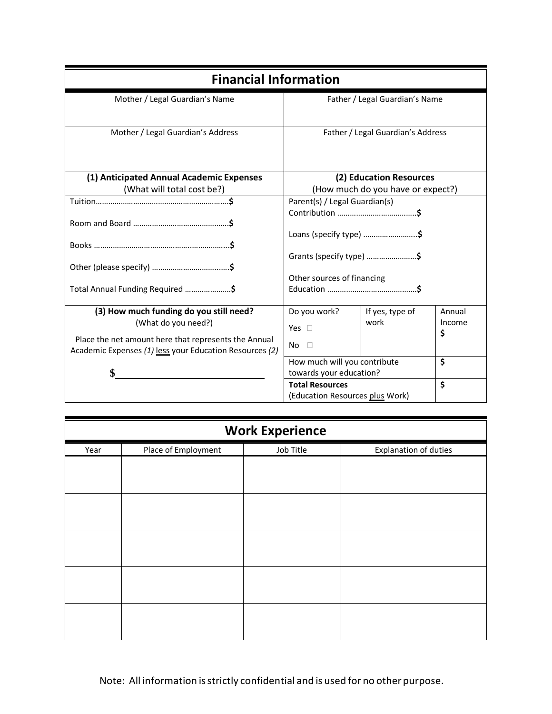| <b>Financial Information</b>                                                                                    |                                                         |                         |              |
|-----------------------------------------------------------------------------------------------------------------|---------------------------------------------------------|-------------------------|--------------|
| Mother / Legal Guardian's Name                                                                                  | Father / Legal Guardian's Name                          |                         |              |
| Mother / Legal Guardian's Address                                                                               | Father / Legal Guardian's Address                       |                         |              |
| (1) Anticipated Annual Academic Expenses                                                                        |                                                         | (2) Education Resources |              |
| (What will total cost be?)                                                                                      | (How much do you have or expect?)                       |                         |              |
|                                                                                                                 | Parent(s) / Legal Guardian(s)                           |                         |              |
|                                                                                                                 | Loans (specify type) \$                                 |                         |              |
|                                                                                                                 | Grants (specify type) \$                                |                         |              |
|                                                                                                                 | Other sources of financing                              |                         |              |
| Total Annual Funding Required \$                                                                                |                                                         |                         |              |
| (3) How much funding do you still need?                                                                         | Do you work?                                            | If yes, type of         | Annual       |
| (What do you need?)                                                                                             | Yes $\square$                                           | work                    | Income<br>\$ |
| Place the net amount here that represents the Annual<br>Academic Expenses (1) less your Education Resources (2) | No<br>П                                                 |                         |              |
| \$                                                                                                              | How much will you contribute<br>towards your education? |                         | \$           |
|                                                                                                                 | <b>Total Resources</b>                                  |                         | \$           |
|                                                                                                                 | (Education Resources plus Work)                         |                         |              |

| <b>Work Experience</b> |                     |           |                       |  |
|------------------------|---------------------|-----------|-----------------------|--|
| Year                   | Place of Employment | Job Title | Explanation of duties |  |
|                        |                     |           |                       |  |
|                        |                     |           |                       |  |
|                        |                     |           |                       |  |
|                        |                     |           |                       |  |
|                        |                     |           |                       |  |
|                        |                     |           |                       |  |
|                        |                     |           |                       |  |
|                        |                     |           |                       |  |
|                        |                     |           |                       |  |
|                        |                     |           |                       |  |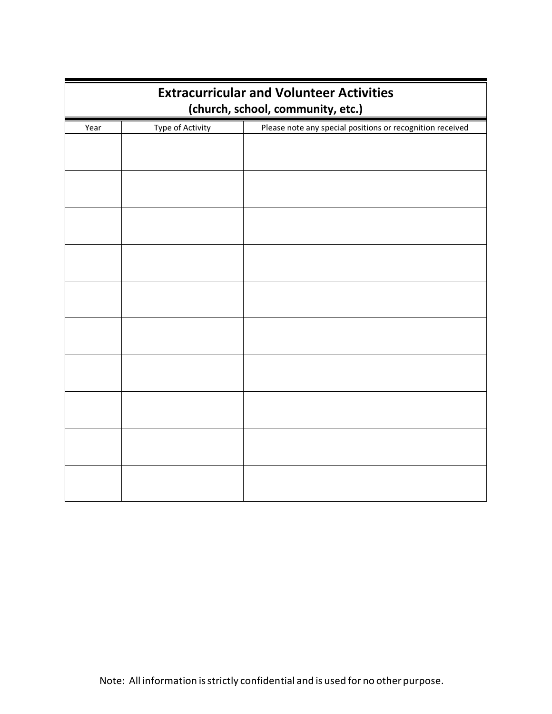| <b>Extracurricular and Volunteer Activities</b><br>(church, school, community, etc.) |                  |                                                           |  |
|--------------------------------------------------------------------------------------|------------------|-----------------------------------------------------------|--|
| Year                                                                                 | Type of Activity | Please note any special positions or recognition received |  |
|                                                                                      |                  |                                                           |  |
|                                                                                      |                  |                                                           |  |
|                                                                                      |                  |                                                           |  |
|                                                                                      |                  |                                                           |  |
|                                                                                      |                  |                                                           |  |
|                                                                                      |                  |                                                           |  |
|                                                                                      |                  |                                                           |  |
|                                                                                      |                  |                                                           |  |
|                                                                                      |                  |                                                           |  |
|                                                                                      |                  |                                                           |  |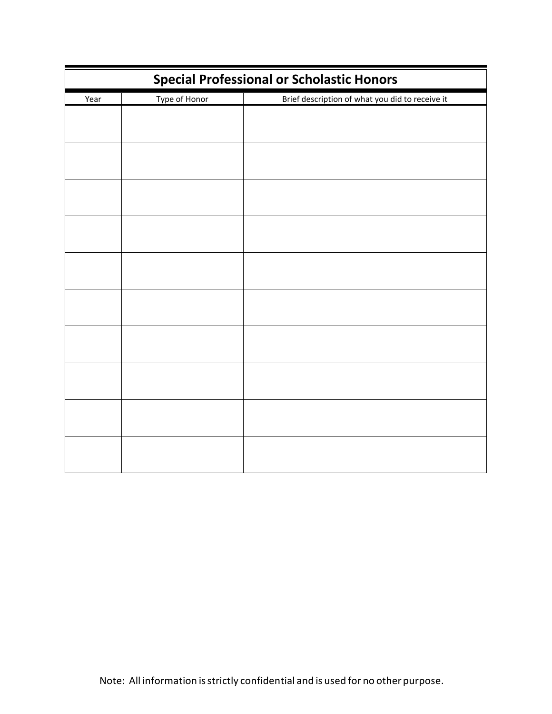| <b>Special Professional or Scholastic Honors</b> |               |                                                 |  |
|--------------------------------------------------|---------------|-------------------------------------------------|--|
| Year                                             | Type of Honor | Brief description of what you did to receive it |  |
|                                                  |               |                                                 |  |
|                                                  |               |                                                 |  |
|                                                  |               |                                                 |  |
|                                                  |               |                                                 |  |
|                                                  |               |                                                 |  |
|                                                  |               |                                                 |  |
|                                                  |               |                                                 |  |
|                                                  |               |                                                 |  |
|                                                  |               |                                                 |  |
|                                                  |               |                                                 |  |
|                                                  |               |                                                 |  |
|                                                  |               |                                                 |  |
|                                                  |               |                                                 |  |
|                                                  |               |                                                 |  |
|                                                  |               |                                                 |  |
|                                                  |               |                                                 |  |
|                                                  |               |                                                 |  |
|                                                  |               |                                                 |  |
|                                                  |               |                                                 |  |
|                                                  |               |                                                 |  |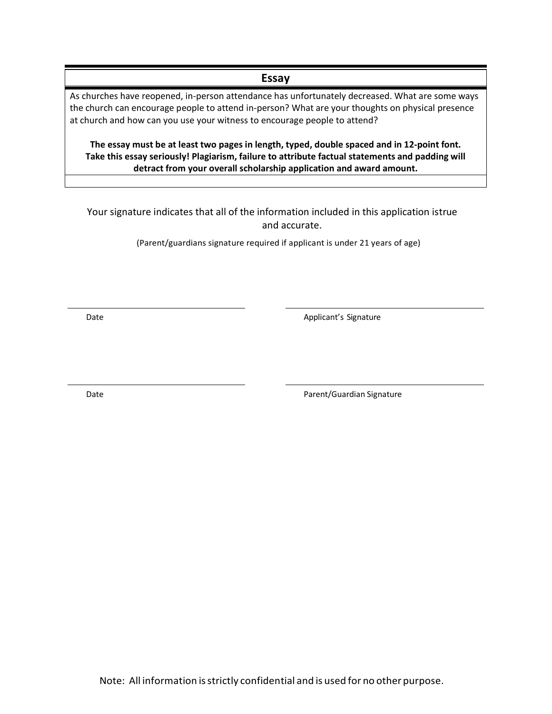As churches have reopened, in-person attendance has unfortunately decreased. What are some ways the church can encourage people to attend in-person? What are your thoughts on physical presence at church and how can you use your witness to encourage people to attend?

**Essay**

**The essay must be at least two pages in length, typed, double spaced and in 12-point font. Take this essay seriously! Plagiarism, failure to attribute factual statements and padding will detract from your overall scholarship application and award amount.**

Your signature indicates that all of the information included in this application istrue and accurate.

(Parent/guardians signature required if applicant is under 21 years of age)

Date **Date Applicant's Signature Applicant's Signature** 

Date **Date Parent/Guardian Signature**